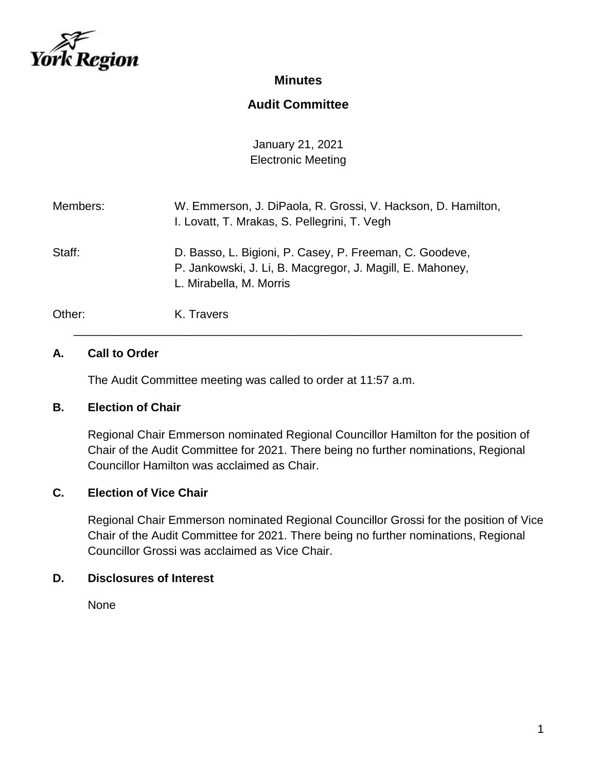

# **Minutes**

# **Audit Committee**

January 21, 2021 Electronic Meeting

| Members: | W. Emmerson, J. DiPaola, R. Grossi, V. Hackson, D. Hamilton,<br>I. Lovatt, T. Mrakas, S. Pellegrini, T. Vegh                                    |
|----------|-------------------------------------------------------------------------------------------------------------------------------------------------|
| Staff:   | D. Basso, L. Bigioni, P. Casey, P. Freeman, C. Goodeve,<br>P. Jankowski, J. Li, B. Macgregor, J. Magill, E. Mahoney,<br>L. Mirabella, M. Morris |
| Other:   | K. Travers                                                                                                                                      |

\_\_\_\_\_\_\_\_\_\_\_\_\_\_\_\_\_\_\_\_\_\_\_\_\_\_\_\_\_\_\_\_\_\_\_\_\_\_\_\_\_\_\_\_\_\_\_\_\_\_\_\_\_\_\_\_\_\_\_\_\_\_\_\_\_\_\_\_\_

### **A. Call to Order**

The Audit Committee meeting was called to order at 11:57 a.m.

#### **B. Election of Chair**

Regional Chair Emmerson nominated Regional Councillor Hamilton for the position of Chair of the Audit Committee for 2021. There being no further nominations, Regional Councillor Hamilton was acclaimed as Chair.

#### **C. Election of Vice Chair**

Regional Chair Emmerson nominated Regional Councillor Grossi for the position of Vice Chair of the Audit Committee for 2021. There being no further nominations, Regional Councillor Grossi was acclaimed as Vice Chair.

#### **D. Disclosures of Interest**

None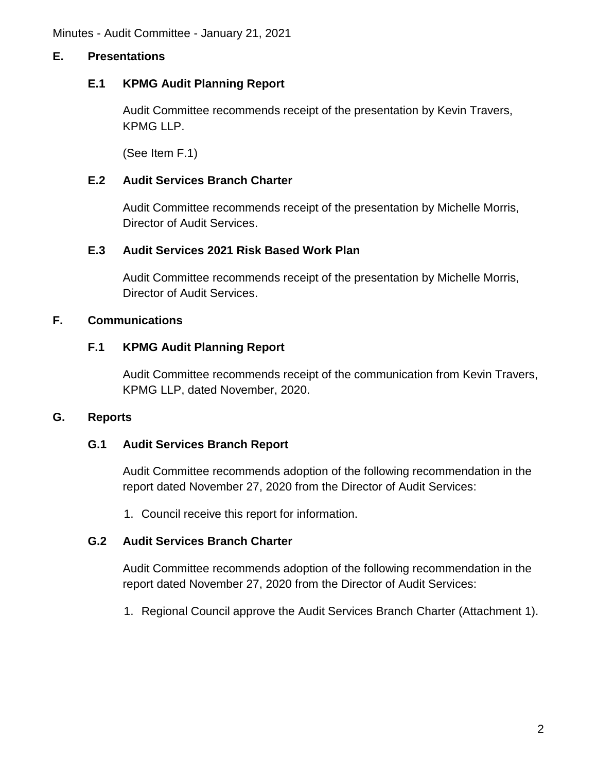# **E. Presentations**

### **E.1 KPMG Audit Planning Report**

Audit Committee recommends receipt of the presentation by Kevin Travers, KPMG LLP.

(See Item F.1)

# **E.2 Audit Services Branch Charter**

Audit Committee recommends receipt of the presentation by Michelle Morris, Director of Audit Services.

### **E.3 Audit Services 2021 Risk Based Work Plan**

Audit Committee recommends receipt of the presentation by Michelle Morris, Director of Audit Services.

### **F. Communications**

### **F.1 KPMG Audit Planning Report**

Audit Committee recommends receipt of the communication from Kevin Travers, KPMG LLP, dated November, 2020.

#### **G. Reports**

#### **G.1 Audit Services Branch Report**

Audit Committee recommends adoption of the following recommendation in the report dated November 27, 2020 from the Director of Audit Services:

1. Council receive this report for information.

#### **G.2 Audit Services Branch Charter**

Audit Committee recommends adoption of the following recommendation in the report dated November 27, 2020 from the Director of Audit Services:

1. Regional Council approve the Audit Services Branch Charter (Attachment 1).